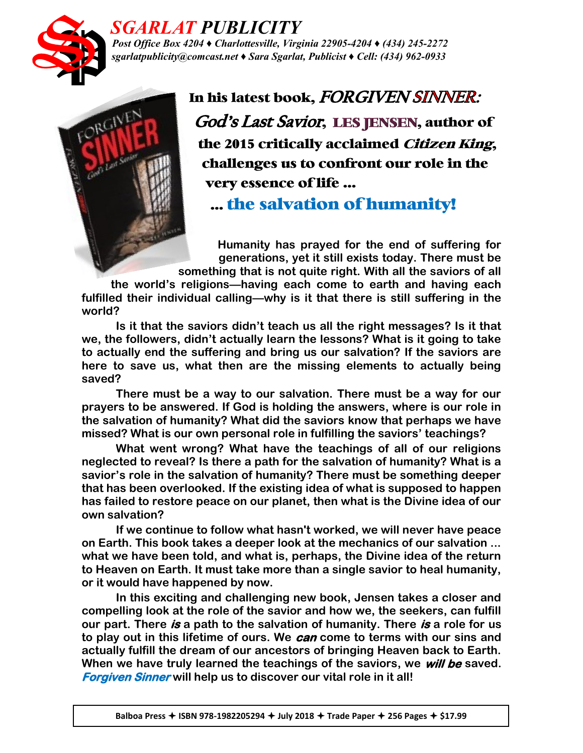

## *SGARLAT PUBLICITY*

*Post Office Box 4204 ♦ Charlottesville, Virginia 22905-4204 ♦ (434) 245-2272 sgarlatpublicity@comcast.net ♦ Sara Sgarlat, Publicist ♦ Cell: (434) 962-0933*



In his latest book, FORGIVEN SINNER: God's Last Savior, LES JENSEN, author of the 2015 critically acclaimed Citizen King, challenges us to confront our role in the very essence of life …

… the salvation of humanity!

**Humanity has prayed for the end of suffering for generations, yet it still exists today. There must be something that is not quite right. With all the saviors of all** 

**the world's religions—having each come to earth and having each fulfilled their individual calling—why is it that there is still suffering in the world?**

**Is it that the saviors didn't teach us all the right messages? Is it that we, the followers, didn't actually learn the lessons? What is it going to take to actually end the suffering and bring us our salvation? If the saviors are here to save us, what then are the missing elements to actually being saved?**

**There must be a way to our salvation. There must be a way for our prayers to be answered. If God is holding the answers, where is our role in the salvation of humanity? What did the saviors know that perhaps we have missed? What is our own personal role in fulfilling the saviors' teachings?**

**What went wrong? What have the teachings of all of our religions neglected to reveal? Is there a path for the salvation of humanity? What is a savior's role in the salvation of humanity? There must be something deeper that has been overlooked. If the existing idea of what is supposed to happen has failed to restore peace on our planet, then what is the Divine idea of our own salvation?**

**If we continue to follow what hasn't worked, we will never have peace on Earth. This book takes a deeper look at the mechanics of our salvation ... what we have been told, and what is, perhaps, the Divine idea of the return to Heaven on Earth. It must take more than a single savior to heal humanity, or it would have happened by now.**

**In this exciting and challenging new book, Jensen takes a closer and compelling look at the role of the savior and how we, the seekers, can fulfill our part. There is a path to the salvation of humanity. There is a role for us to play out in this lifetime of ours. We can come to terms with our sins and actually fulfill the dream of our ancestors of bringing Heaven back to Earth. When we have truly learned the teachings of the saviors, we will be saved. Forgiven Sinner will help us to discover our vital role in it all!**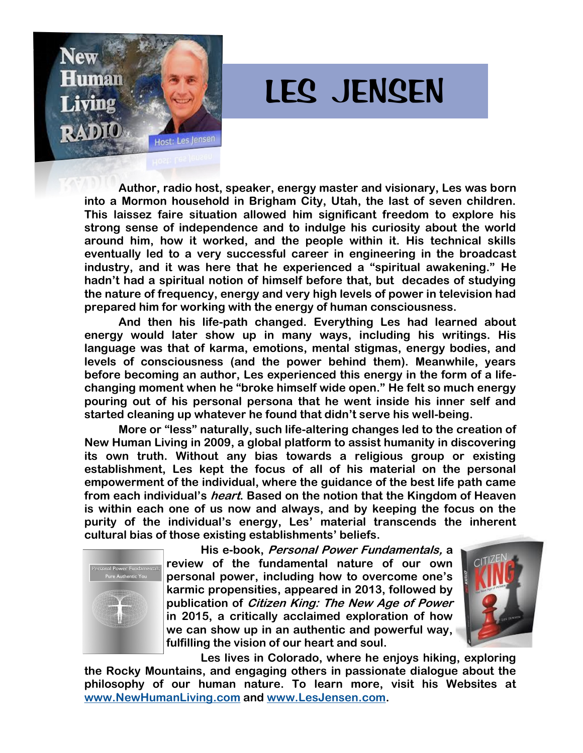

## LES JENSEN

**Author, radio host, speaker, energy master and visionary, Les was born into a Mormon household in Brigham City, Utah, the last of seven children. This laissez faire situation allowed him significant freedom to explore his strong sense of independence and to indulge his curiosity about the world around him, how it worked, and the people within it. His technical skills eventually led to a very successful career in engineering in the broadcast industry, and it was here that he experienced a "spiritual awakening." He hadn't had a spiritual notion of himself before that, but decades of studying the nature of frequency, energy and very high levels of power in television had prepared him for working with the energy of human consciousness.**

**And then his life-path changed. Everything Les had learned about energy would later show up in many ways, including his writings. His language was that of karma, emotions, mental stigmas, energy bodies, and levels of consciousness (and the power behind them). Meanwhile, years before becoming an author, Les experienced this energy in the form of a lifechanging moment when he "broke himself wide open." He felt so much energy pouring out of his personal persona that he went inside his inner self and started cleaning up whatever he found that didn't serve his well-being.**

**More or "less" naturally, such life-altering changes led to the creation of New Human Living in 2009, a global platform to assist humanity in discovering its own truth. Without any bias towards a religious group or existing establishment, Les kept the focus of all of his material on the personal empowerment of the individual, where the guidance of the best life path came from each individual's heart. Based on the notion that the Kingdom of Heaven is within each one of us now and always, and by keeping the focus on the purity of the individual's energy, Les' material transcends the inherent cultural bias of those existing establishments' beliefs.**



**His e-book, Personal Power Fundamentals, a review of the fundamental nature of our own personal power, including how to overcome one's karmic propensities, appeared in 2013, followed by publication of Citizen King: The New Age of Power in 2015, a critically acclaimed exploration of how we can show up in an authentic and powerful way, fulfilling the vision of our heart and soul.**



**Les lives in Colorado, where he enjoys hiking, exploring the Rocky Mountains, and engaging others in passionate dialogue about the philosophy of our human nature. To learn more, visit his Websites at [www.NewHumanLiving.com](http://www.NewHumanLiving.com/) and [www.LesJensen.com.](http://www.LesJensen.com/)**